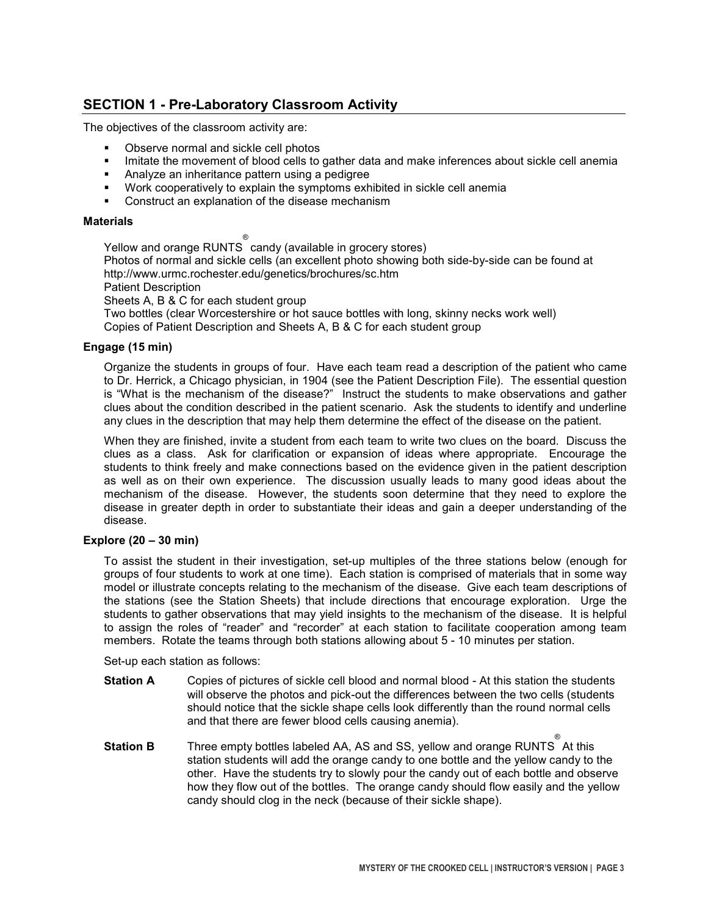# SECTION 1 - Pre-Laboratory Classroom Activity

The objectives of the classroom activity are:

- **.** Observe normal and sickle cell photos
- **.** Imitate the movement of blood cells to gather data and make inferences about sickle cell anemia
- ! Analyze an inheritance pattern using a pedigree
- ! Work cooperatively to explain the symptoms exhibited in sickle cell anemia
- ! Construct an explanation of the disease mechanism

### **Materials**

Yellow and orange RUNTS  $^\circ$  candy (available in grocery stores) Photos of normal and sickle cells (an excellent photo showing both side-by-side can be found at http://www.urmc.rochester.edu/genetics/brochures/sc.htm Patient Description

Sheets A, B & C for each student group

Two bottles (clear Worcestershire or hot sauce bottles with long, skinny necks work well) Copies of Patient Description and Sheets A, B & C for each student group

### Engage (15 min)

Organize the students in groups of four. Have each team read a description of the patient who came to Dr. Herrick, a Chicago physician, in 1904 (see the Patient Description File). The essential question is "What is the mechanism of the disease?" Instruct the students to make observations and gather clues about the condition described in the patient scenario. Ask the students to identify and underline any clues in the description that may help them determine the effect of the disease on the patient.

When they are finished, invite a student from each team to write two clues on the board. Discuss the clues as a class. Ask for clarification or expansion of ideas where appropriate. Encourage the students to think freely and make connections based on the evidence given in the patient description as well as on their own experience. The discussion usually leads to many good ideas about the mechanism of the disease. However, the students soon determine that they need to explore the disease in greater depth in order to substantiate their ideas and gain a deeper understanding of the disease.

### Explore (20 – 30 min)

To assist the student in their investigation, set-up multiples of the three stations below (enough for groups of four students to work at one time). Each station is comprised of materials that in some way model or illustrate concepts relating to the mechanism of the disease. Give each team descriptions of the stations (see the Station Sheets) that include directions that encourage exploration. Urge the students to gather observations that may yield insights to the mechanism of the disease. It is helpful to assign the roles of "reader" and "recorder" at each station to facilitate cooperation among team members. Rotate the teams through both stations allowing about 5 - 10 minutes per station.

Set-up each station as follows:

- **Station A** Copies of pictures of sickle cell blood and normal blood At this station the students will observe the photos and pick-out the differences between the two cells (students should notice that the sickle shape cells look differently than the round normal cells and that there are fewer blood cells causing anemia).
- **Station B** Three empty bottles labeled AA, AS and SS, yellow and orange RUNTS At this ® station students will add the orange candy to one bottle and the yellow candy to the other. Have the students try to slowly pour the candy out of each bottle and observe how they flow out of the bottles. The orange candy should flow easily and the yellow candy should clog in the neck (because of their sickle shape).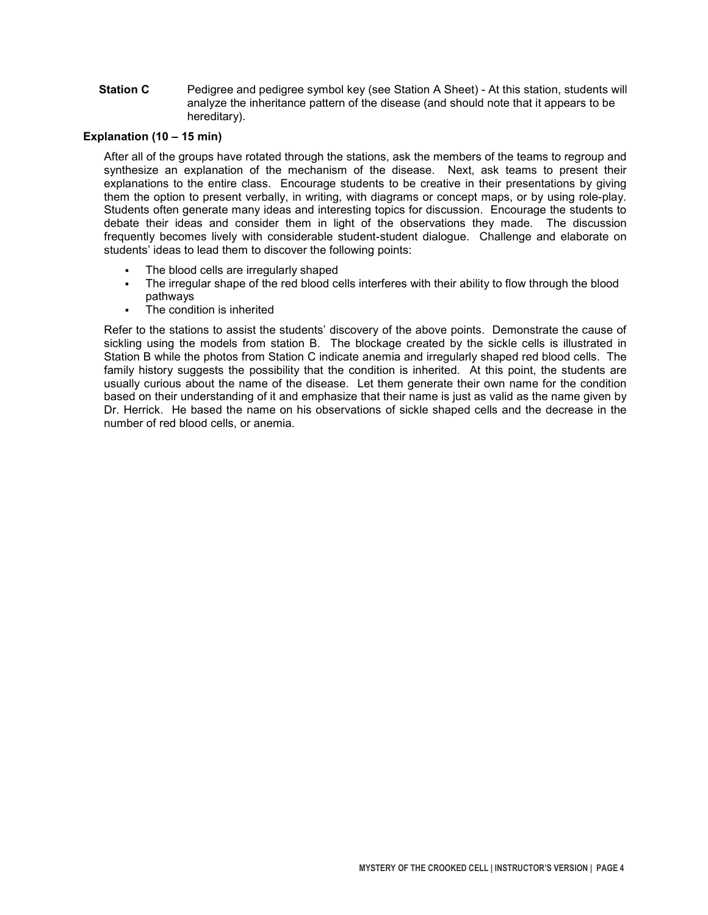Station C Pedigree and pedigree symbol key (see Station A Sheet) - At this station, students will analyze the inheritance pattern of the disease (and should note that it appears to be hereditary).

### Explanation (10 – 15 min)

After all of the groups have rotated through the stations, ask the members of the teams to regroup and synthesize an explanation of the mechanism of the disease. Next, ask teams to present their explanations to the entire class. Encourage students to be creative in their presentations by giving them the option to present verbally, in writing, with diagrams or concept maps, or by using role-play. Students often generate many ideas and interesting topics for discussion. Encourage the students to debate their ideas and consider them in light of the observations they made. The discussion frequently becomes lively with considerable student-student dialogue. Challenge and elaborate on students' ideas to lead them to discover the following points:

- The blood cells are irregularly shaped
- The irregular shape of the red blood cells interferes with their ability to flow through the blood pathways
- The condition is inherited

Refer to the stations to assist the students' discovery of the above points. Demonstrate the cause of sickling using the models from station B. The blockage created by the sickle cells is illustrated in Station B while the photos from Station C indicate anemia and irregularly shaped red blood cells. The family history suggests the possibility that the condition is inherited. At this point, the students are usually curious about the name of the disease. Let them generate their own name for the condition based on their understanding of it and emphasize that their name is just as valid as the name given by Dr. Herrick. He based the name on his observations of sickle shaped cells and the decrease in the number of red blood cells, or anemia.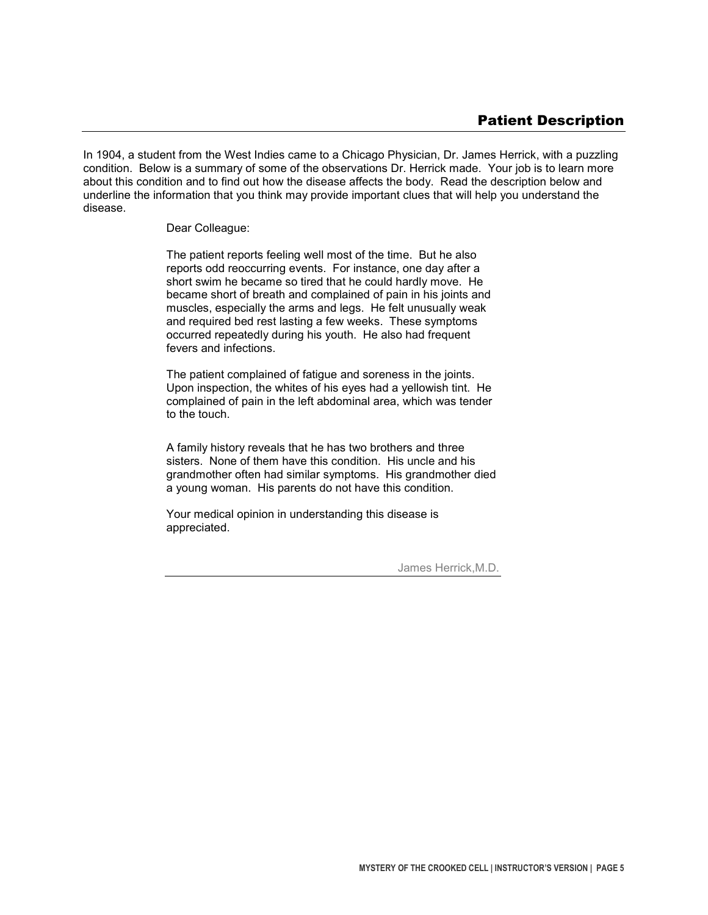In 1904, a student from the West Indies came to a Chicago Physician, Dr. James Herrick, with a puzzling condition. Below is a summary of some of the observations Dr. Herrick made. Your job is to learn more about this condition and to find out how the disease affects the body. Read the description below and underline the information that you think may provide important clues that will help you understand the disease.

#### Dear Colleague:

The patient reports feeling well most of the time. But he also reports odd reoccurring events. For instance, one day after a short swim he became so tired that he could hardly move. He became short of breath and complained of pain in his joints and muscles, especially the arms and legs. He felt unusually weak and required bed rest lasting a few weeks. These symptoms occurred repeatedly during his youth. He also had frequent fevers and infections.

The patient complained of fatigue and soreness in the joints. Upon inspection, the whites of his eyes had a yellowish tint. He complained of pain in the left abdominal area, which was tender to the touch.

A family history reveals that he has two brothers and three sisters. None of them have this condition. His uncle and his grandmother often had similar symptoms. His grandmother died a young woman. His parents do not have this condition.

Your medical opinion in understanding this disease is appreciated.

James Herrick,M.D.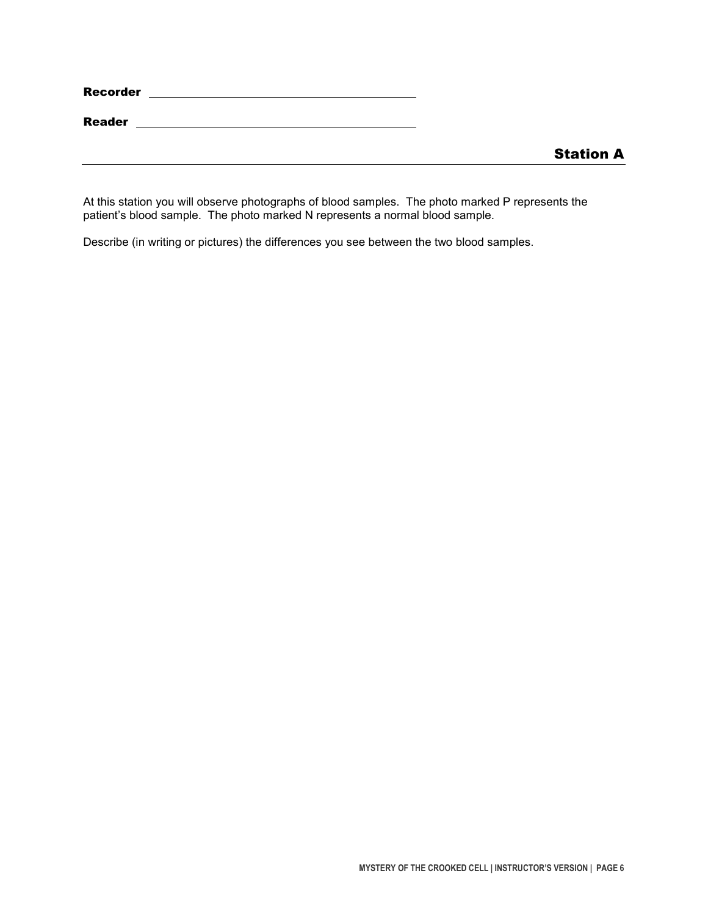| Recorder |  |
|----------|--|
|          |  |

**Reader** 2008 2009 2012 2022 2023 2024 2022 2022 2023 2024 2022 2023 2024 2022 2023 2024 2025 2026 2027 2028 20

At this station you will observe photographs of blood samples. The photo marked P represents the patient's blood sample. The photo marked N represents a normal blood sample.

Describe (in writing or pictures) the differences you see between the two blood samples.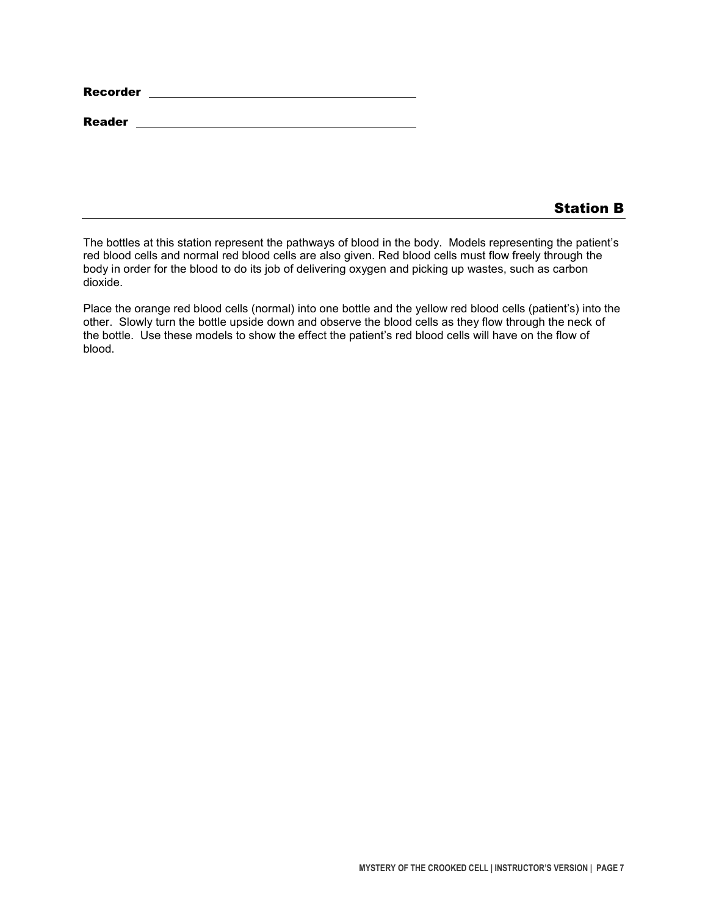| Recorder |  |
|----------|--|
|          |  |

Reader **Reader Reader** 

## Station B

The bottles at this station represent the pathways of blood in the body. Models representing the patient's red blood cells and normal red blood cells are also given. Red blood cells must flow freely through the body in order for the blood to do its job of delivering oxygen and picking up wastes, such as carbon dioxide.

Place the orange red blood cells (normal) into one bottle and the yellow red blood cells (patient's) into the other. Slowly turn the bottle upside down and observe the blood cells as they flow through the neck of the bottle. Use these models to show the effect the patient's red blood cells will have on the flow of blood.